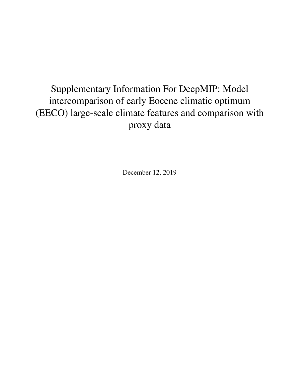## Supplementary Information For DeepMIP: Model intercomparison of early Eocene climatic optimum (EECO) large-scale climate features and comparison with proxy data

December 12, 2019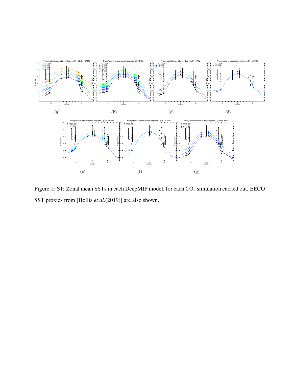

Figure 1: S1: Zonal mean SSTs in each DeepMIP model, for each  $CO_2$  simulation carried out. EECO SST proxies from [Hollis *et al.*(2019)] are also shown.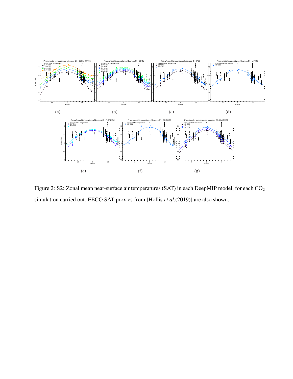![](_page_2_Figure_0.jpeg)

Figure 2: S2: Zonal mean near-surface air temperatures (SAT) in each DeepMIP model, for each CO<sub>2</sub> simulation carried out. EECO SAT proxies from [Hollis *et al.*(2019)] are also shown.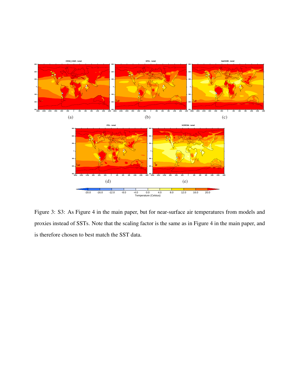![](_page_3_Figure_0.jpeg)

Figure 3: S3: As Figure 4 in the main paper, but for near-surface air temperatures from models and proxies instead of SSTs. Note that the scaling factor is the same as in Figure 4 in the main paper, and is therefore chosen to best match the SST data.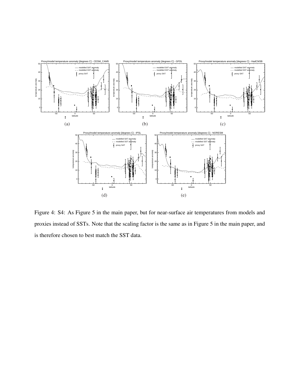![](_page_4_Figure_0.jpeg)

Figure 4: S4: As Figure 5 in the main paper, but for near-surface air temperatures from models and proxies instead of SSTs. Note that the scaling factor is the same as in Figure 5 in the main paper, and is therefore chosen to best match the SST data.